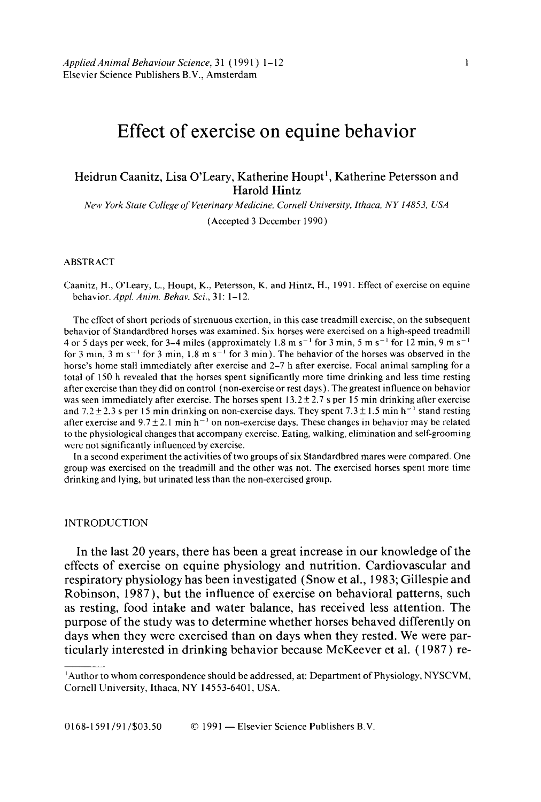# **Effect of exercise on equine behavior**

# Heidrun Caanitz, Lisa O'Leary, Katherine Houpt<sup>1</sup>, Katherine Petersson and Harold Hintz

*New York State College of Veterinary Medicine, Cornell University, Ithaca, NY 14853, USA*  (Accepted 3 December 1990)

#### ABSTRACT

Caanitz, H., O'Leary, L., Houpt, K., Petersson, K. and Hintz, H., 1991. Effect of exercise on equine behavior. *Appl. Anita. Behav. Sci.,* 31: 1-12.

The effect of short periods of strenuous exertion, in this case treadmill exercise, on the subsequent behavior of Standardbred horses was examined. Six horses were exercised on a high-speed treadmill 4 or 5 days per week, for 3-4 miles (approximately 1.8 m s<sup>-1</sup> for 3 min, 5 m s<sup>-1</sup> for 12 min, 9 m s<sup>-1</sup> for 3 min,  $3 \text{ m s}^{-1}$  for 3 min,  $1.8 \text{ m s}^{-1}$  for 3 min). The behavior of the horses was observed in the horse's home stall immediately after exercise and 2-7 h after exercise. Focal animal sampling for a total of 150 h revealed that the horses spent significantly more time drinking and less time resting after exercise than they did on control (non-exercise or rest days ). The greatest influence on behavior was seen immediately after exercise. The horses spent  $13.2 \pm 2.7$  s per 15 min drinking after exercise and 7.2  $\pm$  2.3 s per 15 min drinking on non-exercise days. They spent 7.3  $\pm$  1.5 min h<sup>-1</sup> stand resting after exercise and  $9.7 \pm 2.1$  min h<sup>-1</sup> on non-exercise days. These changes in behavior may be related to the physiological changes that accompany exercise. Eating, walking, elimination and self-grooming were not significantly influenced by exercise.

In a second experiment the activities of two groups of six Standardbred mares were compared. One group was exercised on the treadmill and the other was not. The exercised horses spent more time drinking and lying, but urinated less than the non-exercised group.

#### INTRODUCTION

In the last 20 years, there has been a great increase in our knowledge of the effects of exercise on equine physiology and nutrition. Cardiovascular and respiratory physiology has been investigated (Snow et al., 1983; Gillespie and Robinson, 1987), but the influence of exercise on behavioral patterns, such as resting, food intake and water balance, has received less attention. The purpose of the study was to determine whether horses behaved differently on days when they were exercised than on days when they rested. We were particularly interested in drinking behavior because McKeever et al. (1987) re-

<sup>~</sup>Author to whom correspondence should be addressed, at: Department of Physiology, NYSCVM, Cornell University, Ithaca, NY 14553-6401, USA.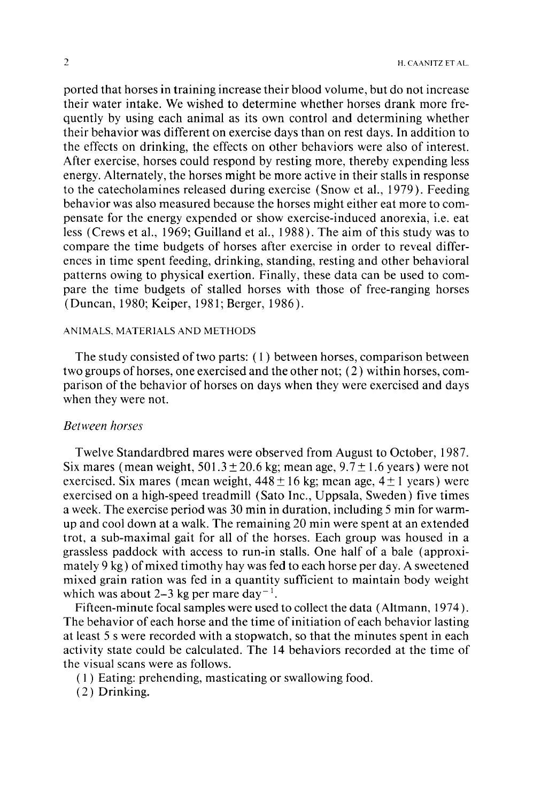ported that horses in training increase their blood volume, but do not increase their water intake. We wished to determine whether horses drank more frequently by using each animal as its own control and determining whether their behavior was different on exercise days than on rest days. In addition to the effects on drinking, the effects on other behaviors were also of interest. After exercise, horses could respond by resting more, thereby expending less energy. Alternately, the horses might be more active in their stalls in response to the catecholamines released during exercise (Snow et al., 1979). Feeding behavior was also measured because the horses might either eat more to compensate for the energy expended or show exercise-induced anorexia, i.e. eat less (Crews et al., 1969; Guilland et al., 1988). The aim of this study was to compare the time budgets of horses after exercise in order to reveal differences in time spent feeding, drinking, standing, resting and other behavioral patterns owing to physical exertion. Finally, these data can be used to compare the time budgets of stalled horses with those of free-ranging horses (Duncan, 1980; Keiper, 1981; Berger, 1986).

## ANIMALS, MATERIALS AND METHODS

The study consisted of two parts: ( 1 ) between horses, comparison between two groups of horses, one exercised and the other not; (2) within horses, comparison of the behavior of horses on days when they were exercised and days when they were not.

# *Between horses*

Twelve Standardbred mares were observed from August to October, 1987. Six mares (mean weight,  $501.3 \pm 20.6$  kg; mean age,  $9.7 \pm 1.6$  years) were not exercised. Six mares (mean weight,  $448 \pm 16$  kg; mean age,  $4 \pm 1$  years) were exercised on a high-speed treadmill (Sato Inc., Uppsala, Sweden) five times a week. The exercise period was 30 min in duration, including 5 min for warmup and cool down at a walk. The remaining 20 min were spent at an extended trot, a sub-maximal gait for all of the horses. Each group was housed in a grassless paddock with access to run-in stalls. One half of a bale (approximately 9 kg) of mixed timothy hay was fed to each horse per day. A sweetened mixed grain ration was fed in a quantity sufficient to maintain body weight which was about 2-3 kg per mare day<sup>-1</sup>.

Fifteen-minute focal samples were used to collect the data (Altmann, 1974 ). The behavior of each horse and the time of initiation of each behavior lasting at least 5 s were recorded with a stopwatch, so that the minutes spent in each activity state could be calculated. The 14 behaviors recorded at the time of the visual scans were as follows.

- ( 1 ) Eating: prehending, masticating or swallowing food.
- (2) Drinking.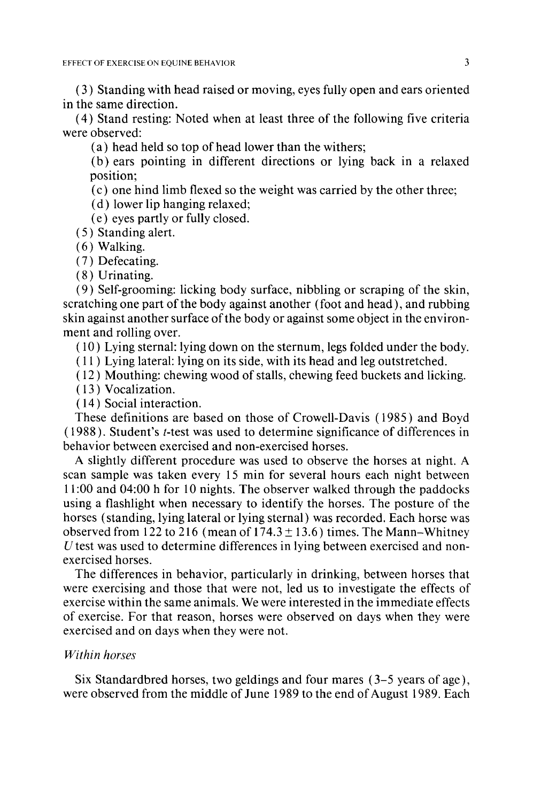( 3 ) Standing with head raised or moving, eyes fully open and ears oriented in the same direction.

(4) Stand resting: Noted when at least three of the following five criteria were observed:

(a) head held so top of head lower than the withers;

(b) ears pointing in different directions or lying back in a relaxed position;

(c) one hind limb flexed so the weight was carried by the other three;

(d) lower lip hanging relaxed;

(e) eyes partly or fully closed.

( 5 ) Standing alert.

(6) Walking.

( 7 ) Defecating.

(8) Urinating.

(9) Self-grooming: licking body surface, nibbling or scraping of the skin, scratching one part of the body against another (foot and head), and rubbing skin against another surface of the body or against some object in the environment and rolling over.

( 10 ) Lying sternal: lying down on the sternum, legs folded under the body.

( 11 ) Lying lateral: lying on its side, with its head and leg outstretched.

( 12 ) Mouthing: chewing wood of stalls, chewing feed buckets and licking.

( 13 ) Vocalization.

( 14 ) Social interaction.

These definitions are based on those of Crowell-Davis (1985) and Boyd (1988). Student's t-test was used to determine significance of differences in behavior between exercised and non-exercised horses.

A slightly different procedure was used to observe the horses at night. A scan sample was taken every 15 min for several hours each night between 11:00 and 04:00 h for 10 nights. The observer walked through the paddocks using a flashlight when necessary to identify the horses. The posture of the horses (standing, lying lateral or lying sternal) was recorded. Each horse was observed from 122 to 216 (mean of  $174.3 \pm 13.6$ ) times. The Mann-Whitney U test was used to determine differences in lying between exercised and nonexercised horses.

The differences in behavior, particularly in drinking, between horses that were exercising and those that were not, led us to investigate the effects of exercise within the same animals. We were interested in the immediate effects of exercise. For that reason, horses were observed on days when they were exercised and on days when they were not.

# *Within horses*

Six Standardbred horses, two geldings and four mares (3-5 years of age), were observed from the middle of June 1989 to the end of August 1989. Each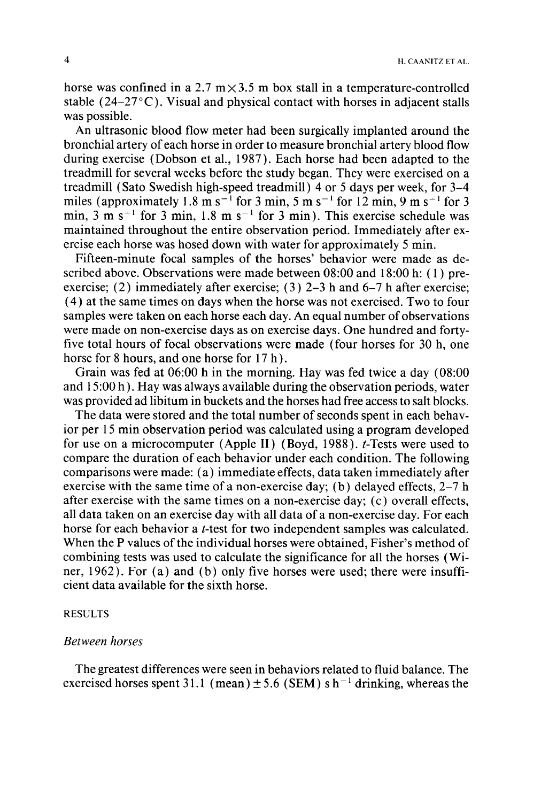horse was confined in a 2.7 m $\times$ 3.5 m box stall in a temperature-controlled stable  $(24-27\degree C)$ . Visual and physical contact with horses in adjacent stalls was possible.

An ultrasonic blood flow meter had been surgically implanted around the bronchial artery of each horse in order to measure bronchial artery blood flow during exercise (Dobson et al., 1987). Each horse had been adapted to the treadmill for several weeks before the study began. They were exercised on a treadmill (Sato Swedish high-speed treadmill) 4 or 5 days per week, for 3-4 miles (approximately  $1.8 \text{ m s}^{-1}$  for 3 min, 5 m s<sup>-1</sup> for 12 min, 9 m s<sup>-1</sup> for 3 min,  $3 \text{ m s}^{-1}$  for  $3 \text{ min}$ ,  $1.8 \text{ m s}^{-1}$  for  $3 \text{ min}$ ). This exercise schedule was maintained throughout the entire observation period. Immediately after exercise each horse was hosed down with water for approximately 5 min.

Fifteen-minute focal samples of the horses' behavior were made as described above. Observations were made between 08:00 and 18:00 h: ( 1 ) preexercise; (2) immediately after exercise; (3)  $2-3$  h and  $6-7$  h after exercise; (4) at the same times on days when the horse was not exercised. Two to four samples were taken on each horse each day. An equal number of observations were made on non-exercise days as on exercise days. One hundred and fortyfive total hours of focal observations were made (four horses for 30 h, one horse for 8 hours, and one horse for 17 h).

Grain was fed at 06:00 h in the morning. Hay was fed twice a day (08:00 and 15:00 h ). Hay was always available during the observation periods, water was provided ad libitum in buckets and the horses had free access to salt blocks.

The data were stored and the total number of seconds spent in each behavior per 15 min observation period was calculated using a program developed for use on a microcomputer (Apple II) (Boyd, 1988). t-Tests were used to compare the duration of each behavior under each condition. The following comparisons were made: (a) immediate effects, data taken immediately after exercise with the same time of a non-exercise day; (b) delayed effects, 2-7 h after exercise with the same times on a non-exercise day; (c) overall effects, all data taken on an exercise day with all data of a non-exercise day. For each horse for each behavior a t-test for two independent samples was calculated. When the P values of the individual horses were obtained, Fisher's method of combining tests was used to calculate the significance for all the horses (Winer, 1962). For (a) and (b) only five horses were used; there were insufficient data available for the sixth horse.

### RESULTS

#### *Between horses*

The greatest differences were seen in behaviors related to fluid balance. The exercised horses spent 31.1 (mean)  $\pm$  5.6 (SEM) s h<sup>-1</sup> drinking, whereas the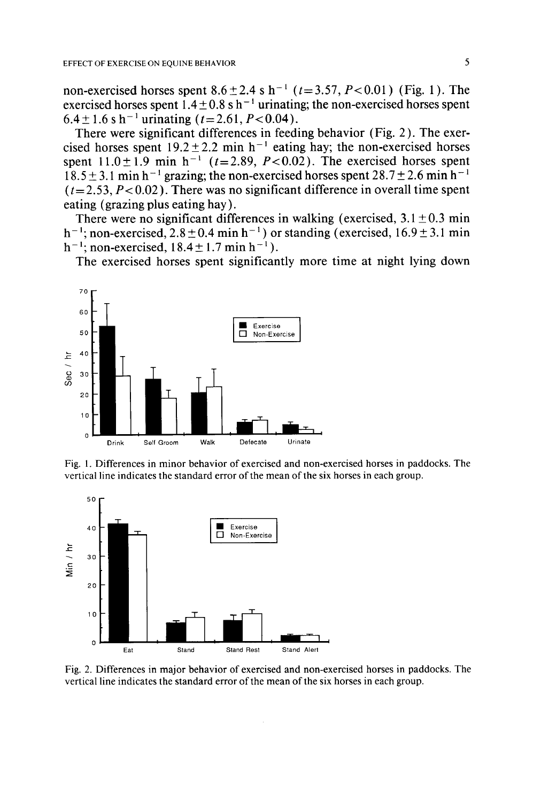**non-exercised horses spent 8.6**  $\pm$  **2.4 s h<sup>-1</sup> (t=3.57, P<0.01) (Fig. 1). The** exercised horses spent  $1.4 \pm 0.8$  s h<sup>-1</sup> urinating; the non-exercised horses spent  $6.4 \pm 1.6$  s h<sup>-1</sup> urinating (t=2.61, P<0.04).

**There were significant differences in feeding behavior (Fig. 2 ). The exer**cised horses spent  $19.2 \pm 2.2$  min h<sup>-1</sup> eating hay; the non-exercised horses spent  $11.0 \pm 1.9$  min h<sup>-1</sup> ( $t=2.89$ ,  $P<0.02$ ). The exercised horses spent  $18.5 \pm 3.1$  min h<sup>-1</sup> grazing; the non-exercised horses spent  $28.7 \pm 2.6$  min h<sup>-1</sup>  $(t= 2.53, P< 0.02)$ . There was no significant difference in overall time spent **eating (grazing plus eating hay ).** 

There were no significant differences in walking (exercised,  $3.1 \pm 0.3$  min  $h^{-1}$ ; non-exercised,  $2.8 \pm 0.4$  min  $h^{-1}$ ) or standing (exercised,  $16.9 \pm 3.1$  min  $h^{-1}$ ; non-exercised,  $18.4 + 1.7$  min  $h^{-1}$ ).

**The exercised horses spent significantly more time at night lying down** 



**Fig. 1. Differences in minor behavior of exercised and non-exercised horses in paddocks. The vertical line indicates the standard error of the mean of the six horses in each group.** 



**Fig. 2. Differences in major behavior of exercised and non-exercised horses in paddocks. The vertical line indicates the standard error of the mean of the six horses in each group.**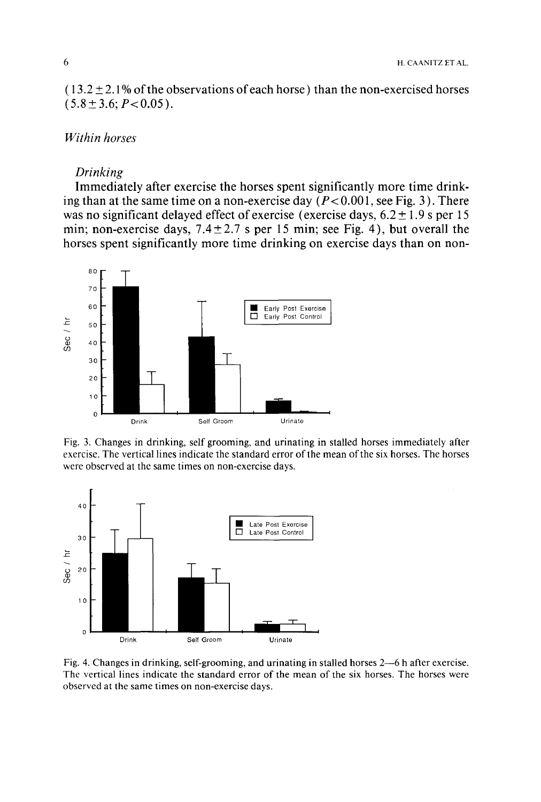$(13.2 \pm 2.1\%$  of the observations of each horse) than the non-exercised horses  $(5.8 \pm 3.6; P<0.05)$ .

*Within horses* 

## *Drinking*

**Immediately after exercise the horses spent significantly more time drinking than at the same time on a non-exercise day (P< 0.001, see Fig. 3 ). There**  was no significant delayed effect of exercise (exercise days,  $6.2 \pm 1.9$  s per 15 min; non-exercise days,  $7.4 \pm 2.7$  s per 15 min; see Fig. 4), but overall the **horses spent significantly more time drinking on exercise days than on non-**



**Fig. 3. Changes in drinking, self grooming, and urinating in stalled horses immediately after exercise. The vertical lines indicate the standard error of the mean of the six horses. The horses were observed at the same times on non-exercise days.** 



Fig. 4. Changes in drinking, self-grooming, and urinating in stalled horses 2—6 h after exercise. **The vertical lines indicate the standard error of the mean of the six horses. The horses were observed at the same times on non-exercise days.**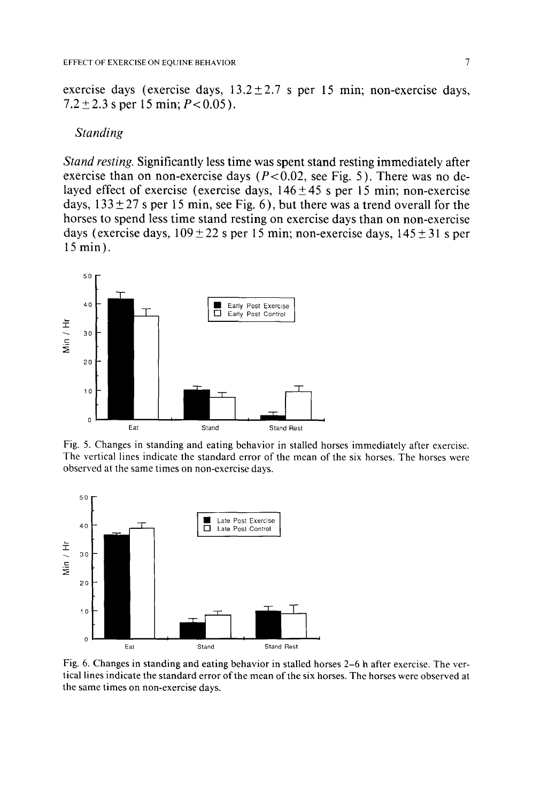exercise days (exercise days,  $13.2 \pm 2.7$  s per 15 min; non-exercise days,  $7.2 + 2.3$  s per 15 min;  $P < 0.05$ ).

# *Standing*

*Stand resting.* **Significantly less time was spent stand resting immediately after**  exercise than on non-exercise days (P<0.02, see Fig. 5). There was no delayed effect of exercise (exercise days,  $146 \pm 45$  s per 15 min; non-exercise days,  $133 \pm 27$  s per 15 min, see Fig. 6), but there was a trend overall for the **horses to spend less time stand resting on exercise days than on non-exercise**  days (exercise days,  $109 \pm 22$  s per 15 min; non-exercise days,  $145 \pm 31$  s per **15 min).** 



**Fig. 5. Changes in standing and eating behavior in stalled horses immediately after exercise. The vertical lines indicate the standard error of the mean of the six horses. The horses were observed at the same times on non-exercise days.** 



**Fig. 6. Changes in standing and eating behavior in stalled horses 2-6 h after exercise. The vertical lines indicate the standard error of the mean of the six horses. The horses were observed at the same times on non-exercise days.**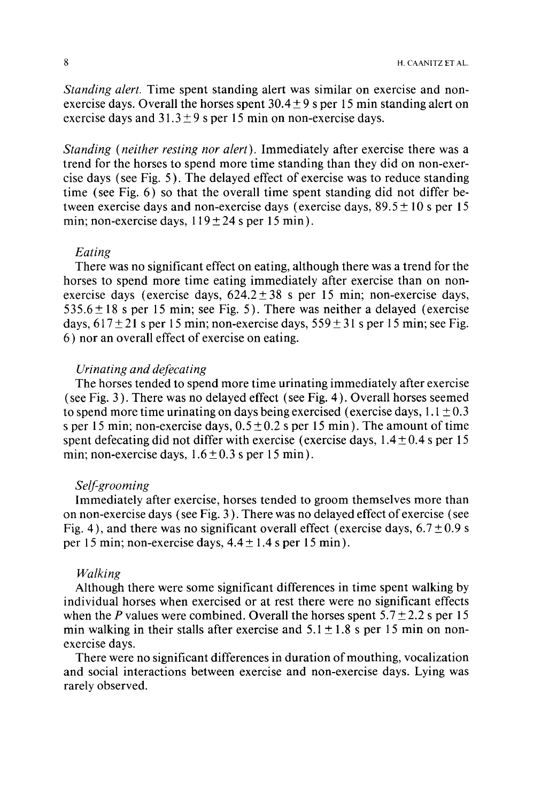*Standing alert.* Time spent standing alert was similar on exercise and nonexercise days. Overall the horses spent  $30.4 \pm 9$  s per 15 min standing alert on exercise days and  $31.3 \pm 9$  s per 15 min on non-exercise days.

*Standing (neither resting nor alert).* Immediately after exercise there was a trend for the horses to spend more time standing than they did on non-exercise days (see Fig. 5). The delayed effect of exercise was to reduce standing time (see Fig. 6) so that the overall time spent standing did not differ between exercise days and non-exercise days (exercise days,  $89.5 \pm 10$  s per 15 min; non-exercise days,  $119 \pm 24$  s per 15 min).

# *Eating*

There was no significant effect on eating, although there was a trend for the horses to spend more time eating immediately after exercise than on nonexercise days (exercise days,  $624.2 \pm 38$  s per 15 min; non-exercise days,  $535.6 \pm 18$  s per 15 min; see Fig. 5). There was neither a delayed (exercise days,  $617 \pm 21$  s per 15 min; non-exercise days,  $559 \pm 31$  s per 15 min; see Fig. 6 ) nor an overall effect of exercise on eating.

# *Urinating and defecating*

The horses tended to spend more time urinating immediately after exercise (see Fig. 3 ). There was no delayed effect (see Fig. 4). Overall horses seemed to spend more time urinating on days being exercised (exercise days,  $1.1 \pm 0.3$ ) s per 15 min; non-exercise days,  $0.5 \pm 0.2$  s per 15 min). The amount of time spent defecating did not differ with exercise (exercise days,  $1.4 \pm 0.4$  s per 15 min; non-exercise days,  $1.6 \pm 0.3$  s per 15 min).

# *Self-grooming*

Immediately after exercise, horses tended to groom themselves more than on non-exercise days ( see Fig. 3 ). There was no delayed effect of exercise (see Fig. 4), and there was no significant overall effect (exercise days,  $6.7 \pm 0.9$  s per 15 min; non-exercise days,  $4.4 \pm 1.4$  s per 15 min).

## *Walking*

Although there were some significant differences in time spent walking by individual horses when exercised or at rest there were no significant effects when the P values were combined. Overall the horses spent  $5.7 \pm 2.2$  s per 15 min walking in their stalls after exercise and  $5.1 \pm 1.8$  s per 15 min on nonexercise days.

There were no significant differences in duration of mouthing, vocalization and social interactions between exercise and non-exercise days. Lying was rarely observed.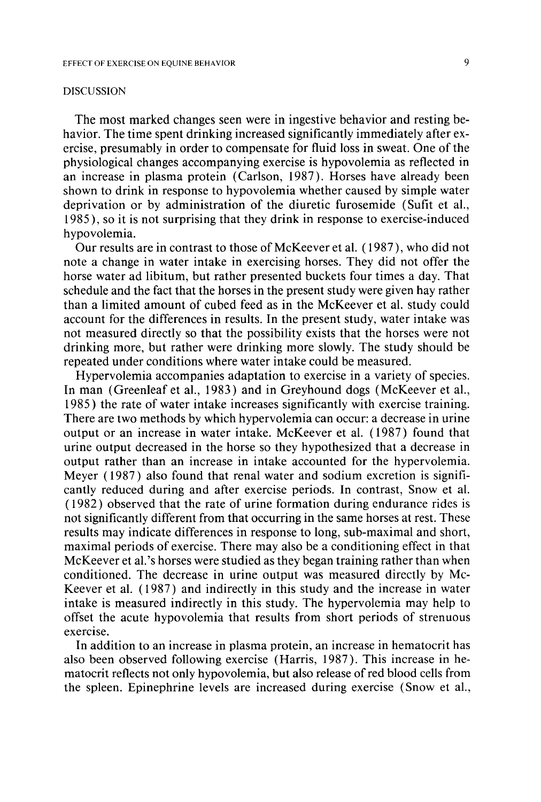#### DISCUSSION

The most marked changes seen were in ingestive behavior and resting behavior. The time spent drinking increased significantly immediately after exercise, presumably in order to compensate for fluid loss in sweat. One of the physiological changes accompanying exercise is hypovolemia as reflected in an increase in plasma protein (Carlson, 1987). Horses have already been shown to drink in response to hypovolemia whether caused by simple water deprivation or by administration of the diuretic furosemide (Sufit et al., 1985 ), so it is not surprising that they drink in response to exercise-induced hypovolemia.

Our results are in contrast to those of McKeever et al. ( 1987 ), who did not note a change in water intake in exercising horses. They did not offer the horse water ad libitum, but rather presented buckets four times a day. That schedule and the fact that the horses in the present study were given hay rather than a limited amount of cubed feed as in the McKeever et al. study could account for the differences in results. In the present study, water intake was not measured directly so that the possibility exists that the horses were not drinking more, but rather were drinking more slowly. The study should be repeated under conditions where water intake could be measured.

Hypervolemia accompanies adaptation to exercise in a variety of species. In man (Greenleaf et al., 1983) and in Greyhound dogs (McKeever et al., 1985 ) the rate of water intake increases significantly with exercise training. There are two methods by which hypervolemia can occur: a decrease in urine output or an increase in water intake. McKeever et al. (1987) found that urine output decreased in the horse so they hypothesized that a decrease in output rather than an increase in intake accounted for the hypervolemia. Meyer (1987) also found that renal water and sodium excretion is significantly reduced during and after exercise periods. In contrast, Snow et al. (1982) observed that the rate of urine formation during endurance rides is not significantly different from that occurring in the same horses at rest. These results may indicate differences in response to long, sub-maximal and short, maximal periods of exercise. There may also be a conditioning effect in that McKeever et al.'s horses were studied as they began training rather than when conditioned. The decrease in urine output was measured directly by Mc-Keever et al. (1987) and indirectly in this study and the increase in water intake is measured indirectly in this study. The hypervolemia may help to offset the acute hypovolemia that results from short periods of strenuous exercise.

In addition to an increase in plasma protein, an increase in hematocrit has also been observed following exercise (Harris, 1987). This increase in hematocrit reflects not only hypovolemia, but also release of red blood cells from the spleen. Epinephrine levels are increased during exercise (Snow et al.,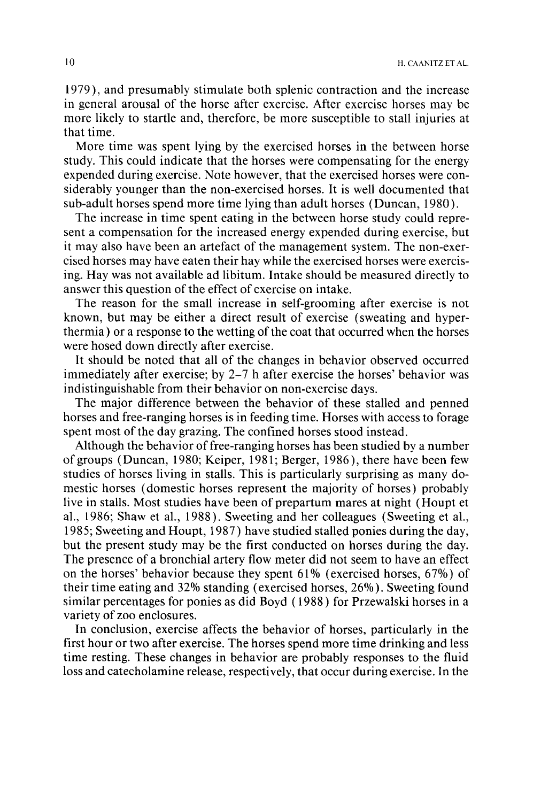1979), and presumably stimulate both splenic contraction and the increase in general arousal of the horse after exercise. After exercise horses may be more likely to startle and, therefore, be more susceptible to stall injuries at that time.

More time was spent lying by the exercised horses in the between horse study. This could indicate that the horses were compensating for the energy expended during exercise. Note however, that the exercised horses were considerably younger than the non-exercised horses. It is well documented that sub-adult horses spend more time lying than adult horses (Duncan, 1980 ).

The increase in time spent eating in the between horse study could represent a compensation for the increased energy expended during exercise, but it may also have been an artefact of the management system. The non-exercised horses may have eaten their hay while the exercised horses were exercising. Hay was not available ad libitum. Intake should be measured directly to answer this question of the effect of exercise on intake.

The reason for the small increase in self-grooming after exercise is not known, but may be either a direct result of exercise (sweating and hyperthermia) or a response to the wetting of the coat that occurred when the horses were hosed down directly after exercise.

It should be noted that all of the changes in behavior observed occurred immediately after exercise; by 2-7 h after exercise the horses' behavior was indistinguishable from their behavior on non-exercise days.

The major difference between the behavior of these stalled and penned horses and free-ranging horses is in feeding time. Horses with access to forage spent most of the day grazing. The confined horses stood instead.

Although the behavior of free-ranging horses has been studied by a number of groups (Duncan, 1980; Keiper, 1981; Berger, 1986), there have been few studies of horses living in stalls. This is particularly surprising as many domestic horses (domestic horses represent the majority of horses) probably live in stalls. Most studies have been of prepartum mares at night (Houpt et al., 1986; Shaw et al., 1988). Sweeting and her colleagues (Sweeting et al., 1985; Sweeting and Houpt, 1987 ) have studied stalled ponies during the day, but the present study may be the first conducted on horses during the day. The presence of a bronchial artery flow meter did not seem to have an effect on the horses' behavior because they spent 61% (exercised horses, 67%) of their time eating and 32% standing (exercised horses, 26%). Sweeting found similar percentages for ponies as did Boyd ( 1988 ) for Przewalski horses in a variety of zoo enclosures.

In conclusion, exercise affects the behavior of horses, particularly in the first hour or two after exercise. The horses spend more time drinking and less time resting. These changes in behavior are probably responses to the fluid loss and catecholamine release, respectively, that occur during exercise. In the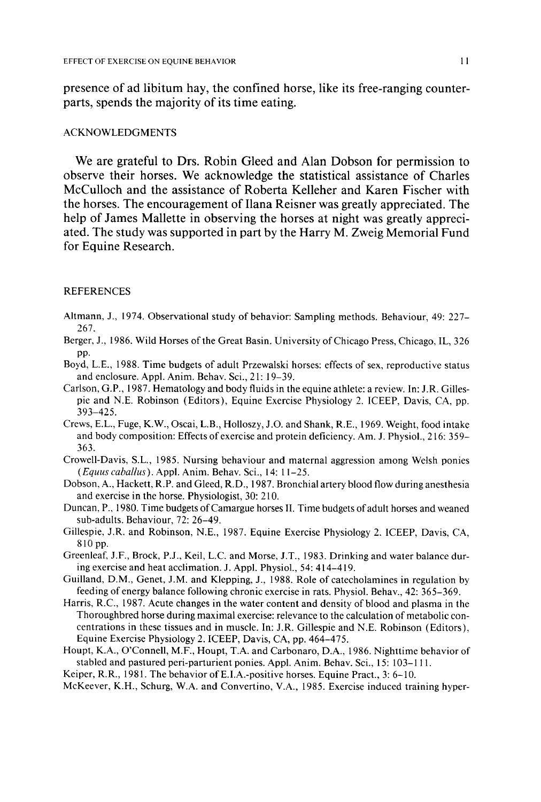presence of ad libitum hay, the confined horse, like its free-ranging counterparts, spends the majority of its time eating.

## ACKNOWLEDGMENTS

We are grateful to Drs. Robin Gleed and Alan Dobson for permission to observe their horses. We acknowledge the statistical assistance of Charles McCulloch and the assistance of Roberta Kelleher and Karen Fischer with the horses. The encouragement of Ilana Reisner was greatly appreciated. The help of James Mallette in observing the horses at night was greatly appreciated. The study was supported in part by the Harry M. Zweig Memorial Fund for Equine Research.

#### **REFERENCES**

- Altmann, J., 1974. Observational study of behavior: Sampling methods. Behaviour, 49: 227- 267.
- Berger, J., 1986. Wild Horses of the Great Basin. University of Chicago Press, Chicago, IL, 326 pp.
- Boyd, L.E., 1988. Time budgets of adult Przewalski horses: effects of sex, reproductive status and enclosure. Appl. Anim. Behav. Sci., 21: 19-39.
- Carlson, G.P., 1987. Hematology and body fluids in the equine athlete: a review. In: J.R. Gillespie and N.E. Robinson (Editors), Equine Exercise Physiology 2. ICEEP, Davis, CA, pp. 393-425.
- Crews, E.L., Fuge, K.W., Oscai, L.B., Holloszy, J.O. and Shank, R.E., 1969. Weight, food intake and body composition: Effects of exercise and protein deficiency. Am. J. Physiol., 216:359- 363.
- Crowell-Davis, S.L., 1985. Nursing behaviour and maternal aggression among Welsh ponies *(Equus caballus).* Appl. Anim. Behav. Sci., 14:11-25.
- Dobson, A., Hackett, R.P. and Gleed, R.D., 1987. Bronchial artery blood flow during anesthesia and exercise in the horse. Physiologist, 30:210.
- Duncan, P., 1980. Time budgets of Camargue horses II. Time budgets of adult horses and weaned sub-adults. Behaviour, 72: 26-49.
- Gillespie, J.R. and Robinson, N.E., 1987. Equine Exercise Physiology 2. ICEEP, Davis, CA, 810 pp.
- Greenleaf, J.F., Brock, P.J., Keil, L.C. and Morse, J.T., 1983. Drinking and water balance during exercise and heat acclimation. J. Appl. Physiol., 54:414-419.
- Guilland, D.M., Genet, J.M. and Klepping, J., 1988. Role of catecholamines in regulation by feeding of energy balance following chronic exercise in rats. Physiol. Behav., 42: 365-369.
- Harris, R.C., 1987. Acute changes in the water content and density of blood and plasma in the Thoroughbred horse during maximal exercise: relevance to the calculation of metabolic concentrations in these tissues and in muscle. In: J.R. Gillespie and N.E. Robinson (Editors), Equine Exercise Physiology 2. ICEEP, Davis, CA, pp. 464-475.
- Houpt, K.A., O'Connell, M.F., Houpt, T.A. and Carbonaro, D.A., 1986. Nighttime behavior of stabled and pastured peri-parturient ponies. Appl. Anim. Behav. Sci., 15:103-111.

Keiper, R.R., 1981. The behavior of E.I.A.-positive horses. Equine Pract., 3: 6-10.

McKeever, K.H., Schurg, W.A. and Convertino, V.A., 1985. Exercise induced training hyper-